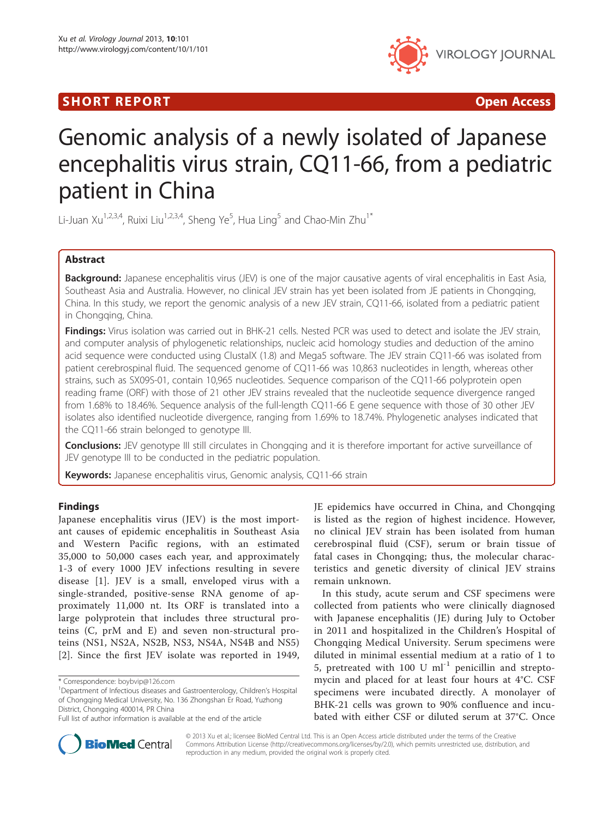## SHORT REPORT **The Contract of the Contract Open Access** (SHORT **Contract of the Contract Open Access**



# Genomic analysis of a newly isolated of Japanese encephalitis virus strain, CQ11-66, from a pediatric patient in China

Li-Juan Xu<sup>1,2,3,4</sup>, Ruixi Liu<sup>1,2,3,4</sup>, Sheng Ye<sup>5</sup>, Hua Ling<sup>5</sup> and Chao-Min Zhu<sup>1\*</sup>

## Abstract

Background: Japanese encephalitis virus (JEV) is one of the major causative agents of viral encephalitis in East Asia, Southeast Asia and Australia. However, no clinical JEV strain has yet been isolated from JE patients in Chongqing, China. In this study, we report the genomic analysis of a new JEV strain, CQ11-66, isolated from a pediatric patient in Chongqing, China.

Findings: Virus isolation was carried out in BHK-21 cells. Nested PCR was used to detect and isolate the JEV strain, and computer analysis of phylogenetic relationships, nucleic acid homology studies and deduction of the amino acid sequence were conducted using ClustalX (1.8) and Mega5 software. The JEV strain CQ11-66 was isolated from patient cerebrospinal fluid. The sequenced genome of CQ11-66 was 10,863 nucleotides in length, whereas other strains, such as SX09S-01, contain 10,965 nucleotides. Sequence comparison of the CQ11-66 polyprotein open reading frame (ORF) with those of 21 other JEV strains revealed that the nucleotide sequence divergence ranged from 1.68% to 18.46%. Sequence analysis of the full-length CQ11-66 E gene sequence with those of 30 other JEV isolates also identified nucleotide divergence, ranging from 1.69% to 18.74%. Phylogenetic analyses indicated that the CQ11-66 strain belonged to genotype III.

Conclusions: JEV genotype III still circulates in Chongqing and it is therefore important for active surveillance of JEV genotype III to be conducted in the pediatric population.

Keywords: Japanese encephalitis virus, Genomic analysis, CQ11-66 strain

## Findings

Japanese encephalitis virus (JEV) is the most important causes of epidemic encephalitis in Southeast Asia and Western Pacific regions, with an estimated 35,000 to 50,000 cases each year, and approximately 1-3 of every 1000 JEV infections resulting in severe disease [[1\]](#page-4-0). JEV is a small, enveloped virus with a single-stranded, positive-sense RNA genome of approximately 11,000 nt. Its ORF is translated into a large polyprotein that includes three structural proteins (C, prM and E) and seven non-structural proteins (NS1, NS2A, NS2B, NS3, NS4A, NS4B and NS5) [[2](#page-4-0)]. Since the first JEV isolate was reported in 1949,

JE epidemics have occurred in China, and Chongqing is listed as the region of highest incidence. However, no clinical JEV strain has been isolated from human cerebrospinal fluid (CSF), serum or brain tissue of fatal cases in Chongqing; thus, the molecular characteristics and genetic diversity of clinical JEV strains remain unknown.

In this study, acute serum and CSF specimens were collected from patients who were clinically diagnosed with Japanese encephalitis (JE) during July to October in 2011 and hospitalized in the Children's Hospital of Chongqing Medical University. Serum specimens were diluted in minimal essential medium at a ratio of 1 to 5, pretreated with 100 U  $ml^{-1}$  penicillin and streptomycin and placed for at least four hours at 4°C. CSF specimens were incubated directly. A monolayer of BHK-21 cells was grown to 90% confluence and incubated with either CSF or diluted serum at 37°C. Once



© 2013 Xu et al.; licensee BioMed Central Ltd. This is an Open Access article distributed under the terms of the Creative Commons Attribution License [\(http://creativecommons.org/licenses/by/2.0\)](http://creativecommons.org/licenses/by/2.0), which permits unrestricted use, distribution, and reproduction in any medium, provided the original work is properly cited.

<sup>\*</sup> Correspondence: [boybvip@126.com](mailto:boybvip@126.com) <sup>1</sup>

Department of Infectious diseases and Gastroenterology, Children's Hospital of Chongqing Medical University, No. 136 Zhongshan Er Road, Yuzhong District, Chongqing 400014, PR China

Full list of author information is available at the end of the article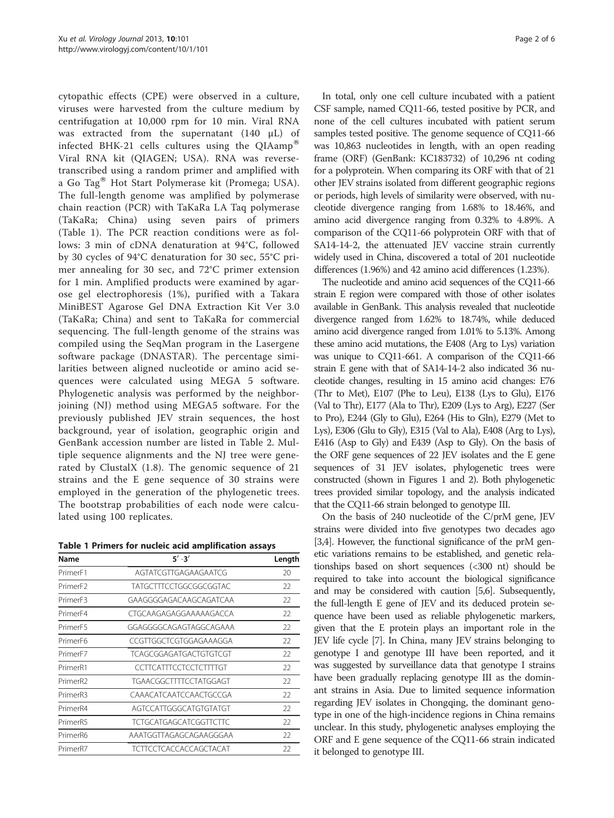cytopathic effects (CPE) were observed in a culture, viruses were harvested from the culture medium by centrifugation at 10,000 rpm for 10 min. Viral RNA was extracted from the supernatant (140 μL) of infected BHK-21 cells cultures using the  $QIAamp^{\otimes}$ Viral RNA kit (QIAGEN; USA). RNA was reversetranscribed using a random primer and amplified with a Go Tag $^{\circledR}$  Hot Start Polymerase kit (Promega; USA). The full-length genome was amplified by polymerase chain reaction (PCR) with TaKaRa LA Taq polymerase (TaKaRa; China) using seven pairs of primers (Table 1). The PCR reaction conditions were as follows: 3 min of cDNA denaturation at 94°C, followed by 30 cycles of 94°C denaturation for 30 sec, 55°C primer annealing for 30 sec, and 72°C primer extension for 1 min. Amplified products were examined by agarose gel electrophoresis (1%), purified with a Takara MiniBEST Agarose Gel DNA Extraction Kit Ver 3.0 (TaKaRa; China) and sent to TaKaRa for commercial sequencing. The full-length genome of the strains was compiled using the SeqMan program in the Lasergene software package (DNASTAR). The percentage similarities between aligned nucleotide or amino acid sequences were calculated using MEGA 5 software. Phylogenetic analysis was performed by the neighborjoining (NJ) method using MEGA5 software. For the previously published JEV strain sequences, the host background, year of isolation, geographic origin and GenBank accession number are listed in Table [2.](#page-2-0) Multiple sequence alignments and the NJ tree were generated by ClustalX (1.8). The genomic sequence of 21 strains and the E gene sequence of 30 strains were employed in the generation of the phylogenetic trees. The bootstrap probabilities of each node were calculated using 100 replicates.

|  |  |  |  |  |  | Table 1 Primers for nucleic acid amplification assays |  |
|--|--|--|--|--|--|-------------------------------------------------------|--|
|--|--|--|--|--|--|-------------------------------------------------------|--|

| Name                 | $5' - 3'$                     | Length |  |
|----------------------|-------------------------------|--------|--|
| Primer <sub>F1</sub> | AGTATCGTTGAGAAGAATCG          | 20     |  |
| Primer <sub>F2</sub> | <b>TATGCTTTCCTGGCGGCGGTAC</b> | 22     |  |
| Primer <sub>F3</sub> | GAAGGGGAGACAAGCAGATCAA        | 22     |  |
| Primer <sub>F4</sub> | CTGCAAGAGAGGAAAAAGACCA        | 22     |  |
| PrimerF5             | GGAGGGGCAGAGTAGGCAGAAA        | 22     |  |
| Primer <sub>F6</sub> | CCGTTGGCTCGTGGAGAAAGGA        | 22     |  |
| PrimerF7             | TCAGCGGAGATGACTGTGTCGT        | 22     |  |
| Primer <sub>R1</sub> | CCTTCATTTCCTCCTCTTTTGT        | 22     |  |
| PrimerR <sub>2</sub> | TGAACGGCTTTTCCTATGGAGT        | 22     |  |
| PrimerR3             | CAAACATCAATCCAACTGCCGA        | 22     |  |
| Primer <sub>R4</sub> | AGTCCATTGGGCATGTGTATGT        | 22     |  |
| PrimerR5             | <b>TCTGCATGAGCATCGGTTCTTC</b> | 22     |  |
| Primer <sub>R6</sub> | AAATGGTTAGAGCAGAAGGGAA        | 22     |  |
| Primer <sub>R7</sub> | <b>TCTTCCTCACCACCAGCTACAT</b> | 22     |  |

In total, only one cell culture incubated with a patient CSF sample, named CQ11-66, tested positive by PCR, and none of the cell cultures incubated with patient serum samples tested positive. The genome sequence of CQ11-66 was 10,863 nucleotides in length, with an open reading frame (ORF) (GenBank: KC183732) of 10,296 nt coding for a polyprotein. When comparing its ORF with that of 21 other JEV strains isolated from different geographic regions or periods, high levels of similarity were observed, with nucleotide divergence ranging from 1.68% to 18.46%, and amino acid divergence ranging from 0.32% to 4.89%. A comparison of the CQ11-66 polyprotein ORF with that of SA14-14-2, the attenuated JEV vaccine strain currently widely used in China, discovered a total of 201 nucleotide differences (1.96%) and 42 amino acid differences (1.23%).

The nucleotide and amino acid sequences of the CQ11-66 strain E region were compared with those of other isolates available in GenBank. This analysis revealed that nucleotide divergence ranged from 1.62% to 18.74%, while deduced amino acid divergence ranged from 1.01% to 5.13%. Among these amino acid mutations, the E408 (Arg to Lys) variation was unique to CQ11-661. A comparison of the CQ11-66 strain E gene with that of SA14-14-2 also indicated 36 nucleotide changes, resulting in 15 amino acid changes: E76 (Thr to Met), E107 (Phe to Leu), E138 (Lys to Glu), E176 (Val to Thr), E177 (Ala to Thr), E209 (Lys to Arg), E227 (Ser to Pro), E244 (Gly to Glu), E264 (His to Gln), E279 (Met to Lys), E306 (Glu to Gly), E315 (Val to Ala), E408 (Arg to Lys), E416 (Asp to Gly) and E439 (Asp to Gly). On the basis of the ORF gene sequences of 22 JEV isolates and the E gene sequences of 31 JEV isolates, phylogenetic trees were constructed (shown in Figures [1](#page-3-0) and [2](#page-4-0)). Both phylogenetic trees provided similar topology, and the analysis indicated that the CQ11-66 strain belonged to genotype III.

On the basis of 240 nucleotide of the C/prM gene, JEV strains were divided into five genotypes two decades ago [[3,4\]](#page-4-0). However, the functional significance of the prM genetic variations remains to be established, and genetic relationships based on short sequences (<300 nt) should be required to take into account the biological significance and may be considered with caution [\[5,6](#page-4-0)]. Subsequently, the full-length E gene of JEV and its deduced protein sequence have been used as reliable phylogenetic markers, given that the E protein plays an important role in the JEV life cycle [[7](#page-4-0)]. In China, many JEV strains belonging to genotype I and genotype III have been reported, and it was suggested by surveillance data that genotype I strains have been gradually replacing genotype III as the dominant strains in Asia. Due to limited sequence information regarding JEV isolates in Chongqing, the dominant genotype in one of the high-incidence regions in China remains unclear. In this study, phylogenetic analyses employing the ORF and E gene sequence of the CQ11-66 strain indicated it belonged to genotype III.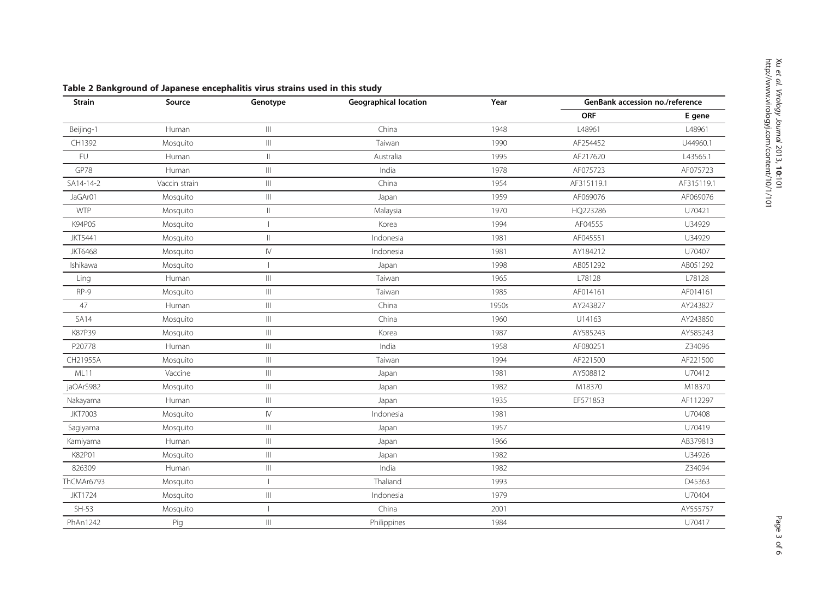| <b>Strain</b>  | Source        | Genotype                             | <b>Geographical location</b> | Year  | GenBank accession no./reference |            |
|----------------|---------------|--------------------------------------|------------------------------|-------|---------------------------------|------------|
|                |               |                                      |                              |       | <b>ORF</b>                      | E gene     |
| Beijing-1      | Human         | $\vert\vert\vert$                    | China                        | 1948  | L48961                          | L48961     |
| CH1392         | Mosquito      | $\vert\vert\vert$                    | Taiwan                       | 1990  | AF254452                        | U44960.1   |
| FU             | Human         | $\mathop{\parallel}$                 | Australia                    | 1995  | AF217620                        | L43565.1   |
| GP78           | Human         | $\vert\vert\vert$                    | India                        | 1978  | AF075723                        | AF075723   |
| SA14-14-2      | Vaccin strain | $\mathbb{H}$                         | China                        | 1954  | AF315119.1                      | AF315119.1 |
| JaGAr01        | Mosquito      | $\vert\vert\vert$                    | Japan                        | 1959  | AF069076                        | AF069076   |
| <b>WTP</b>     | Mosquito      | $\parallel$                          | Malaysia                     | 1970  | HQ223286                        | U70421     |
| K94P05         | Mosquito      |                                      | Korea                        | 1994  | AF04555                         | U34929     |
| <b>JKT5441</b> | Mosquito      | $\parallel$                          | Indonesia                    | 1981  | AF045551                        | U34929     |
| <b>JKT6468</b> | Mosquito      | ${\sf IV}$                           | Indonesia                    | 1981  | AY184212                        | U70407     |
| Ishikawa       | Mosquito      |                                      | Japan                        | 1998  | AB051292                        | AB051292   |
| Ling           | Human         | $\vert\vert\vert$                    | Taiwan                       | 1965  | L78128                          | L78128     |
| RP-9           | Mosquito      | $\vert\vert\vert$                    | Taiwan                       | 1985  | AF014161                        | AF014161   |
| 47             | Human         | $\vert\vert\vert$                    | China                        | 1950s | AY243827                        | AY243827   |
| <b>SA14</b>    | Mosquito      | $\vert\vert\vert$                    | China                        | 1960  | U14163                          | AY243850   |
| K87P39         | Mosquito      | $\left\vert \right\vert \right\vert$ | Korea                        | 1987  | AY585243                        | AY585243   |
| P20778         | Human         | $\vert\vert\vert$                    | India                        | 1958  | AF080251                        | Z34096     |
| CH21955A       | Mosquito      | $\vert\vert\vert$                    | Taiwan                       | 1994  | AF221500                        | AF221500   |
| ML11           | Vaccine       | $\vert\vert\vert$                    | Japan                        | 1981  | AY508812                        | U70412     |
| jaOArS982      | Mosquito      | $\vert\vert\vert$                    | Japan                        | 1982  | M18370                          | M18370     |
| Nakayama       | Human         | $\left\vert \right\vert \right\vert$ | Japan                        | 1935  | EF571853                        | AF112297   |
| <b>JKT7003</b> | Mosquito      | ${\mathsf l}{\mathsf V}$             | Indonesia                    | 1981  |                                 | U70408     |
| Sagiyama       | Mosquito      | $\vert\vert\vert$                    | Japan                        | 1957  |                                 | U70419     |
| Kamiyama       | Human         | $\vert\vert\vert$                    | Japan                        | 1966  |                                 | AB379813   |
| K82P01         | Mosquito      | $\vert\vert\vert$                    | Japan                        | 1982  |                                 | U34926     |
| 826309         | Human         | $\vert\vert\vert$                    | India                        | 1982  |                                 | Z34094     |
| ThCMAr6793     | Mosquito      | $\overline{\phantom{a}}$             | Thaliand                     | 1993  |                                 | D45363     |
| <b>JKT1724</b> | Mosquito      | $\vert\vert\vert$                    | Indonesia                    | 1979  |                                 | U70404     |
| $SH-53$        | Mosquito      |                                      | China                        | 2001  |                                 | AY555757   |
| PhAn1242       | Pig           | $\vert\vert\vert$                    | Philippines                  | 1984  |                                 | U70417     |

<span id="page-2-0"></span>Table 2 Bankground of Japanese encephalitis virus strains used in this study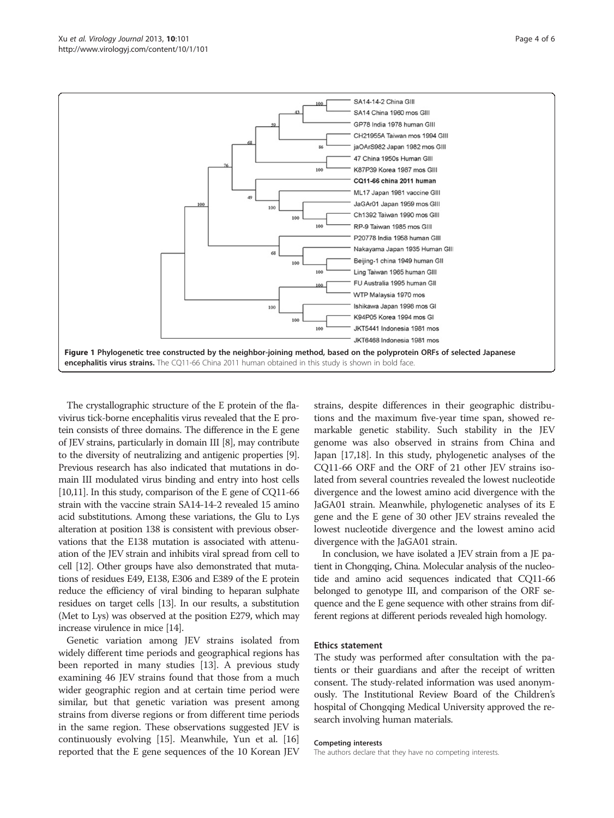<span id="page-3-0"></span>

The crystallographic structure of the E protein of the flavivirus tick-borne encephalitis virus revealed that the E protein consists of three domains. The difference in the E gene of JEV strains, particularly in domain III [\[8](#page-4-0)], may contribute to the diversity of neutralizing and antigenic properties [[9](#page-4-0)]. Previous research has also indicated that mutations in domain III modulated virus binding and entry into host cells [[10,11\]](#page-4-0). In this study, comparison of the E gene of CQ11-66 strain with the vaccine strain SA14-14-2 revealed 15 amino acid substitutions. Among these variations, the Glu to Lys alteration at position 138 is consistent with previous observations that the E138 mutation is associated with attenuation of the JEV strain and inhibits viral spread from cell to cell [\[12\]](#page-4-0). Other groups have also demonstrated that mutations of residues E49, E138, E306 and E389 of the E protein reduce the efficiency of viral binding to heparan sulphate residues on target cells [\[13\]](#page-5-0). In our results, a substitution (Met to Lys) was observed at the position E279, which may increase virulence in mice [\[14](#page-5-0)].

Genetic variation among JEV strains isolated from widely different time periods and geographical regions has been reported in many studies [\[13\]](#page-5-0). A previous study examining 46 JEV strains found that those from a much wider geographic region and at certain time period were similar, but that genetic variation was present among strains from diverse regions or from different time periods in the same region. These observations suggested JEV is continuously evolving [[15](#page-5-0)]. Meanwhile, Yun et al. [[16](#page-5-0)] reported that the E gene sequences of the 10 Korean JEV strains, despite differences in their geographic distributions and the maximum five-year time span, showed remarkable genetic stability. Such stability in the JEV genome was also observed in strains from China and Japan [[17,18](#page-5-0)]. In this study, phylogenetic analyses of the CQ11-66 ORF and the ORF of 21 other JEV strains isolated from several countries revealed the lowest nucleotide divergence and the lowest amino acid divergence with the JaGA01 strain. Meanwhile, phylogenetic analyses of its E gene and the E gene of 30 other JEV strains revealed the lowest nucleotide divergence and the lowest amino acid divergence with the JaGA01 strain.

In conclusion, we have isolated a JEV strain from a JE patient in Chongqing, China. Molecular analysis of the nucleotide and amino acid sequences indicated that CQ11-66 belonged to genotype III, and comparison of the ORF sequence and the E gene sequence with other strains from different regions at different periods revealed high homology.

#### Ethics statement

The study was performed after consultation with the patients or their guardians and after the receipt of written consent. The study-related information was used anonymously. The Institutional Review Board of the Children's hospital of Chongqing Medical University approved the research involving human materials.

#### Competing interests

The authors declare that they have no competing interests.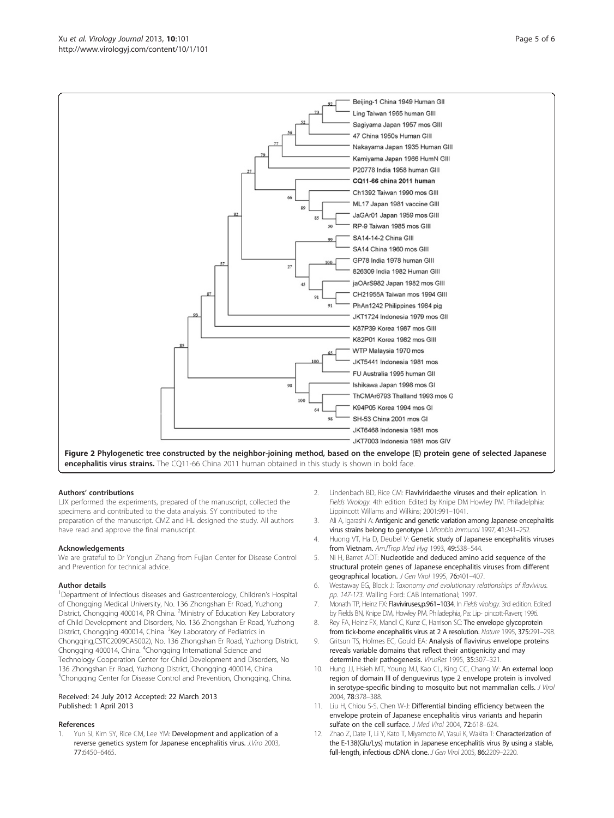<span id="page-4-0"></span>

Figure 2 Phylogenetic tree constructed by the neighbor-joining method, based on the envelope (E) protein gene of selected Japanese encephalitis virus strains. The CQ11-66 China 2011 human obtained in this study is shown in bold face.

#### Authors' contributions

LJX performed the experiments, prepared of the manuscript, collected the specimens and contributed to the data analysis. SY contributed to the preparation of the manuscript. CMZ and HL designed the study. All authors have read and approve the final manuscript.

#### Acknowledgements

We are grateful to Dr Yongjun Zhang from Fujian Center for Disease Control and Prevention for technical advice.

#### Author details

<sup>1</sup>Department of Infectious diseases and Gastroenterology, Children's Hospital of Chongqing Medical University, No. 136 Zhongshan Er Road, Yuzhong District, Chongqing 400014, PR China. <sup>2</sup>Ministry of Education Key Laboratory of Child Development and Disorders, No. 136 Zhongshan Er Road, Yuzhong District, Chongqing 400014, China. <sup>3</sup>Key Laboratory of Pediatrics in Chongqing,CSTC2009CA5002), No. 136 Zhongshan Er Road, Yuzhong District, Chongqing 400014, China. <sup>4</sup>Chongqing International Science and Technology Cooperation Center for Child Development and Disorders, No 136 Zhongshan Er Road, Yuzhong District, Chongqing 400014, China. <sup>5</sup>Chongqing Center for Disease Control and Prevention, Chongqing, China.

#### Received: 24 July 2012 Accepted: 22 March 2013 Published: 1 April 2013

#### References

Yun SI, Kim SY, Rice CM, Lee YM: Development and application of a reverse genetics system for Japanese encephalitis virus. J.Viro 2003, 77:6450–6465.

- 2. Lindenbach BD, Rice CM: Flaviviridae:the viruses and their eplication. In Fields Virology. 4th edition. Edited by Knipe DM Howley PM. Philadelphia: Lippincott Willams and Wilkins; 2001:991–1041.
- 3. Ali A, Igarashi A: Antigenic and genetic variation among Japanese encephalitis virus strains belong to genotype I. Microbio Immunol 1997, 41:241–252.
- 4. Huong VT, Ha D, Deubel V: Genetic study of Japanese encephalitis viruses from Vietnam. AmJTrop Med Hyg 1993, 49:538-544.
- 5. Ni H, Barret ADT: Nucleotide and deduced amino acid sequence of the structural protein genes of Japanese encephalitis viruses from different geographical location. J Gen Virol 1995, 76:401-407.
- 6. Westaway EG, Block J: Taxonomy and evolutionary relationships of flavivirus. pp. 147-173. Walling Ford: CAB International; 1997.
- 7. Monath TP, Heinz FX: Flaviviruses,p.961-1034. In Fields virology. 3rd edition. Edited by Fields BN, Knipe DM, Howley PM. Philadephia, Pa: Lip- pincott-Raven; 1996.
- 8. Rey FA, Heinz FX, Mandl C, Kunz C, Harrison SC: The envelope glycoprotein from tick-borne encephalitis virus at 2 A resolution. Nature 1995, 375:291–298.
- 9. Gritsun TS, Holmes EC, Gould EA: Analysis of flavivirus envelope proteins reveals variable domains that reflect their antigenicity and may determine their pathogenesis. VirusRes 1995, 35:307–321.
- 10. Hung JJ, Hsieh MT, Young MJ, Kao CL, King CC, Chang W: An external loop region of domain III of denguevirus type 2 envelope protein is involved in serotype-specific binding to mosquito but not mammalian cells. J Virol 2004, 78:378–388.
- 11. Liu H, Chiou S-S, Chen W-J: Differential binding efficiency between the envelope protein of Japanese encephalitis virus variants and heparin sulfate on the cell surface. J Med Virol 2004, 72:618-624.
- 12. Zhao Z, Date T, Li Y, Kato T, Miyamoto M, Yasui K, Wakita T: Characterization of the E-138(Glu/Lys) mutation in Japanese encephalitis virus By using a stable, full-length, infectious cDNA clone. J Gen Virol 2005, 86:2209–2220.